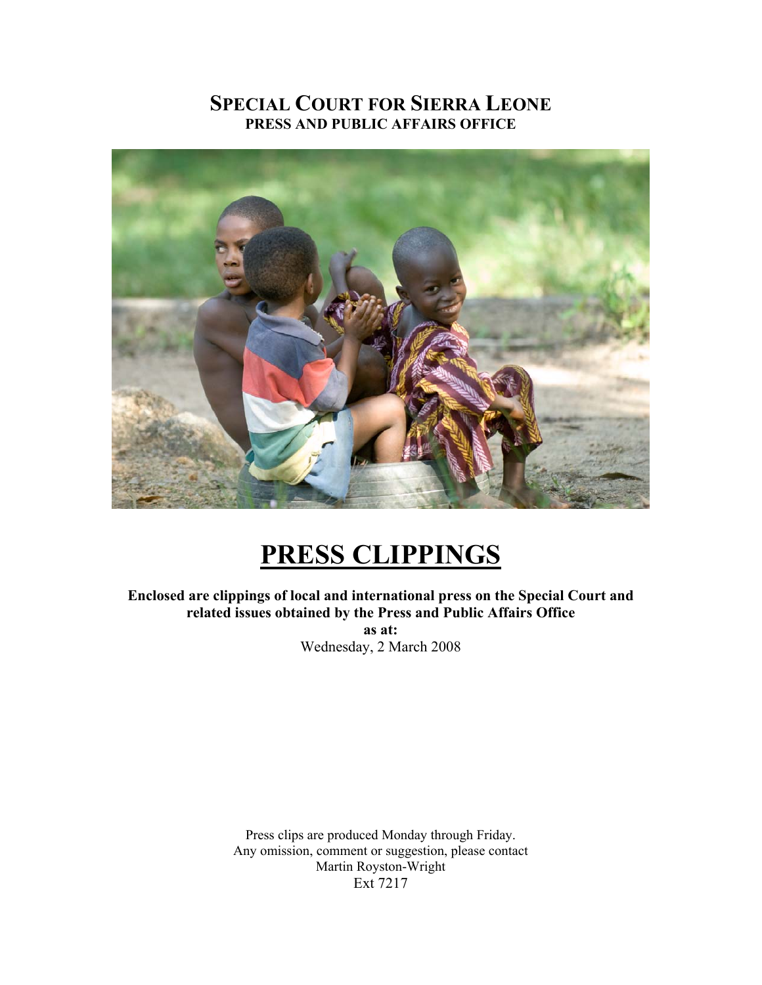# **SPECIAL COURT FOR SIERRA LEONE PRESS AND PUBLIC AFFAIRS OFFICE**



# **PRESS CLIPPINGS**

**Enclosed are clippings of local and international press on the Special Court and related issues obtained by the Press and Public Affairs Office as at:**  Wednesday, 2 March 2008

> Press clips are produced Monday through Friday. Any omission, comment or suggestion, please contact Martin Royston-Wright Ext 7217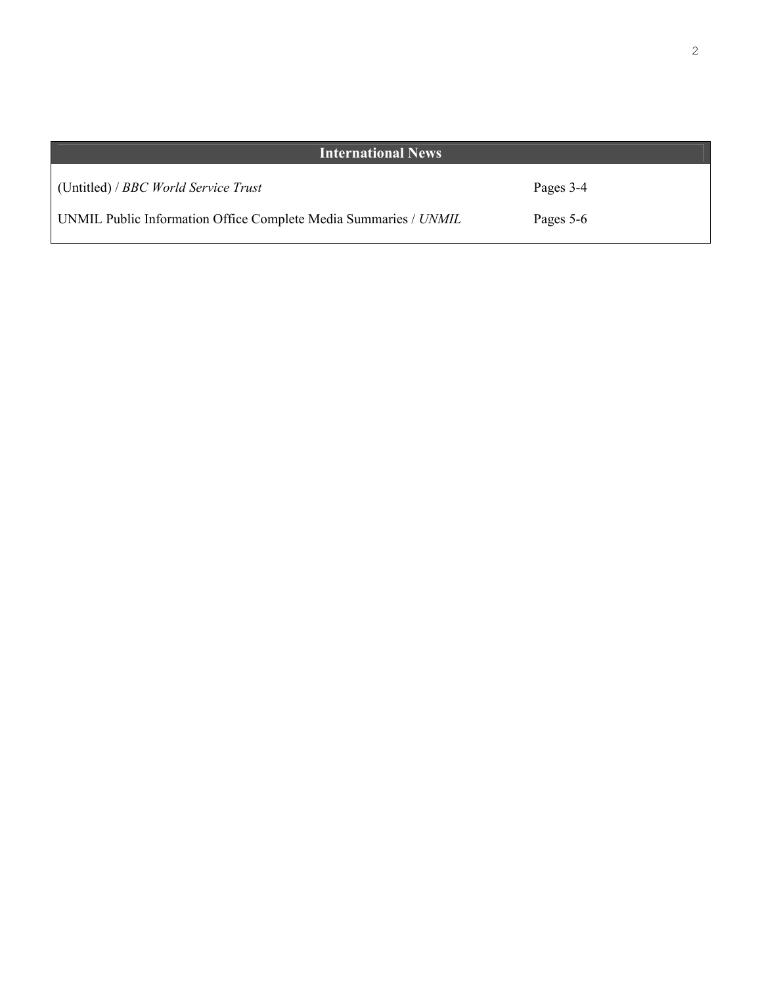| <b>International News</b>                                        |           |
|------------------------------------------------------------------|-----------|
| (Untitled) / BBC World Service Trust                             | Pages 3-4 |
| UNMIL Public Information Office Complete Media Summaries / UNMIL | Pages 5-6 |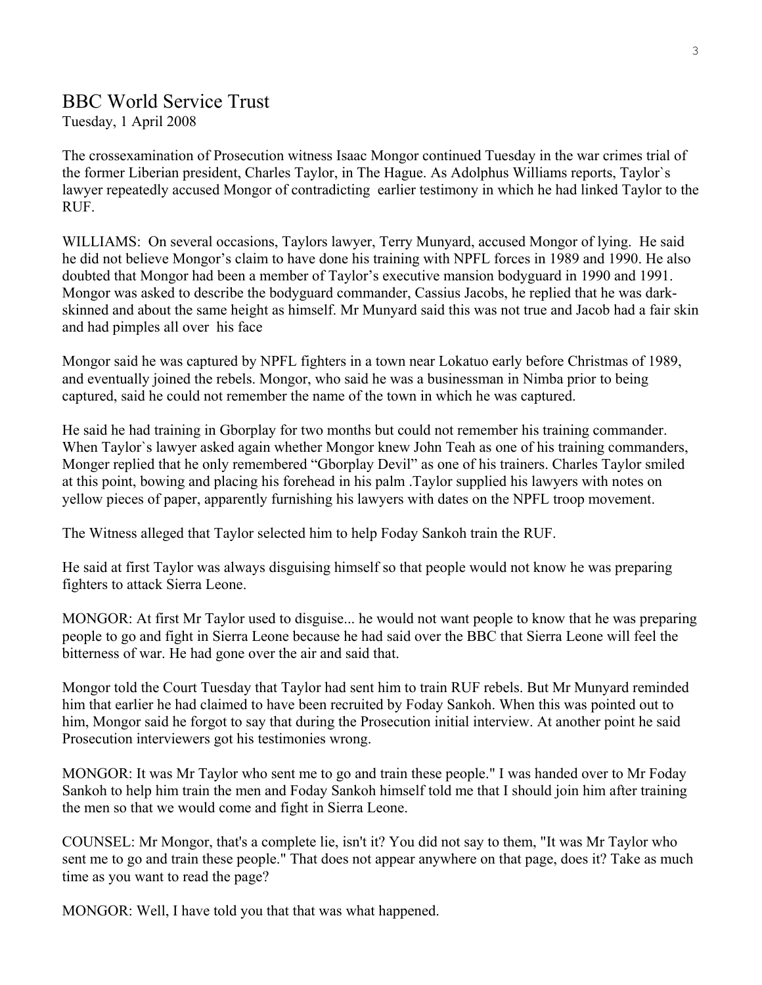# BBC World Service Trust

Tuesday, 1 April 2008

The crossexamination of Prosecution witness Isaac Mongor continued Tuesday in the war crimes trial of the former Liberian president, Charles Taylor, in The Hague. As Adolphus Williams reports, Taylor`s lawyer repeatedly accused Mongor of contradicting earlier testimony in which he had linked Taylor to the RUF.

WILLIAMS: On several occasions, Taylors lawyer, Terry Munyard, accused Mongor of lying. He said he did not believe Mongor's claim to have done his training with NPFL forces in 1989 and 1990. He also doubted that Mongor had been a member of Taylor's executive mansion bodyguard in 1990 and 1991. Mongor was asked to describe the bodyguard commander, Cassius Jacobs, he replied that he was darkskinned and about the same height as himself. Mr Munyard said this was not true and Jacob had a fair skin and had pimples all over his face

Mongor said he was captured by NPFL fighters in a town near Lokatuo early before Christmas of 1989, and eventually joined the rebels. Mongor, who said he was a businessman in Nimba prior to being captured, said he could not remember the name of the town in which he was captured.

He said he had training in Gborplay for two months but could not remember his training commander. When Taylor`s lawyer asked again whether Mongor knew John Teah as one of his training commanders, Monger replied that he only remembered "Gborplay Devil" as one of his trainers. Charles Taylor smiled at this point, bowing and placing his forehead in his palm .Taylor supplied his lawyers with notes on yellow pieces of paper, apparently furnishing his lawyers with dates on the NPFL troop movement.

The Witness alleged that Taylor selected him to help Foday Sankoh train the RUF.

He said at first Taylor was always disguising himself so that people would not know he was preparing fighters to attack Sierra Leone.

MONGOR: At first Mr Taylor used to disguise... he would not want people to know that he was preparing people to go and fight in Sierra Leone because he had said over the BBC that Sierra Leone will feel the bitterness of war. He had gone over the air and said that.

Mongor told the Court Tuesday that Taylor had sent him to train RUF rebels. But Mr Munyard reminded him that earlier he had claimed to have been recruited by Foday Sankoh. When this was pointed out to him, Mongor said he forgot to say that during the Prosecution initial interview. At another point he said Prosecution interviewers got his testimonies wrong.

MONGOR: It was Mr Taylor who sent me to go and train these people." I was handed over to Mr Foday Sankoh to help him train the men and Foday Sankoh himself told me that I should join him after training the men so that we would come and fight in Sierra Leone.

COUNSEL: Mr Mongor, that's a complete lie, isn't it? You did not say to them, "It was Mr Taylor who sent me to go and train these people." That does not appear anywhere on that page, does it? Take as much time as you want to read the page?

MONGOR: Well, I have told you that that was what happened.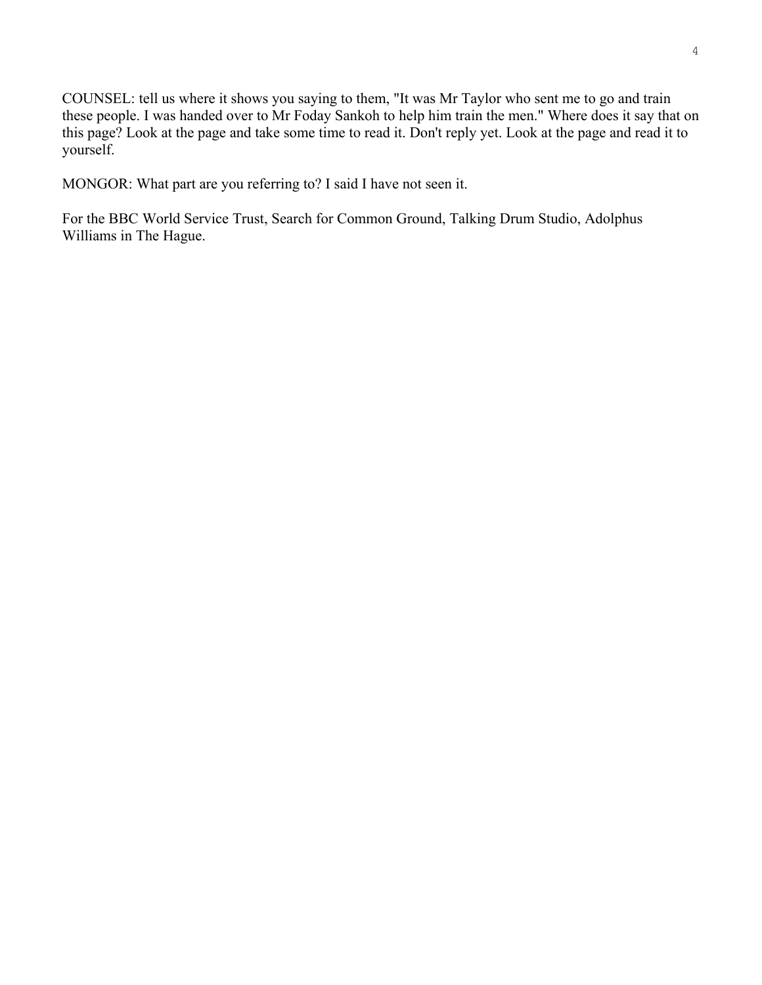COUNSEL: tell us where it shows you saying to them, "It was Mr Taylor who sent me to go and train these people. I was handed over to Mr Foday Sankoh to help him train the men." Where does it say that on this page? Look at the page and take some time to read it. Don't reply yet. Look at the page and read it to yourself.

MONGOR: What part are you referring to? I said I have not seen it.

For the BBC World Service Trust, Search for Common Ground, Talking Drum Studio, Adolphus Williams in The Hague.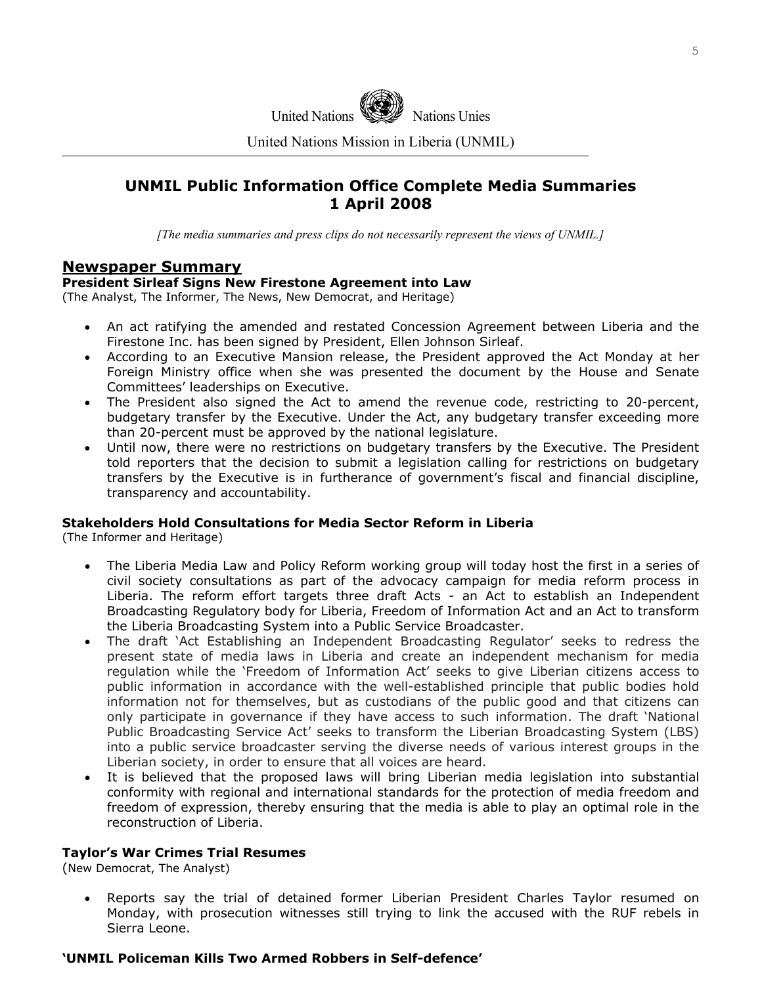

United Nations Mission in Liberia (UNMIL)

# **UNMIL Public Information Office Complete Media Summaries 1 April 2008**

*[The media summaries and press clips do not necessarily represent the views of UNMIL.]*

### **Newspaper Summary**

#### **President Sirleaf Signs New Firestone Agreement into Law**

(The Analyst, The Informer, The News, New Democrat, and Heritage)

- An act ratifying the amended and restated Concession Agreement between Liberia and the Firestone Inc. has been signed by President, Ellen Johnson Sirleaf.
- According to an Executive Mansion release, the President approved the Act Monday at her Foreign Ministry office when she was presented the document by the House and Senate Committees' leaderships on Executive.
- The President also signed the Act to amend the revenue code, restricting to 20-percent, budgetary transfer by the Executive. Under the Act, any budgetary transfer exceeding more than 20-percent must be approved by the national legislature.
- Until now, there were no restrictions on budgetary transfers by the Executive. The President told reporters that the decision to submit a legislation calling for restrictions on budgetary transfers by the Executive is in furtherance of government's fiscal and financial discipline, transparency and accountability.

#### **Stakeholders Hold Consultations for Media Sector Reform in Liberia**

(The Informer and Heritage)

- The Liberia Media Law and Policy Reform working group will today host the first in a series of civil society consultations as part of the advocacy campaign for media reform process in Liberia. The reform effort targets three draft Acts - an Act to establish an Independent Broadcasting Regulatory body for Liberia, Freedom of Information Act and an Act to transform the Liberia Broadcasting System into a Public Service Broadcaster.
- The draft 'Act Establishing an Independent Broadcasting Regulator' seeks to redress the present state of media laws in Liberia and create an independent mechanism for media regulation while the 'Freedom of Information Act' seeks to give Liberian citizens access to public information in accordance with the well-established principle that public bodies hold information not for themselves, but as custodians of the public good and that citizens can only participate in governance if they have access to such information. The draft 'National Public Broadcasting Service Act' seeks to transform the Liberian Broadcasting System (LBS) into a public service broadcaster serving the diverse needs of various interest groups in the Liberian society, in order to ensure that all voices are heard.
- It is believed that the proposed laws will bring Liberian media legislation into substantial conformity with regional and international standards for the protection of media freedom and freedom of expression, thereby ensuring that the media is able to play an optimal role in the reconstruction of Liberia.

#### **Taylor's War Crimes Trial Resumes**

(New Democrat, The Analyst)

• Reports say the trial of detained former Liberian President Charles Taylor resumed on Monday, with prosecution witnesses still trying to link the accused with the RUF rebels in Sierra Leone.

#### **'UNMIL Policeman Kills Two Armed Robbers in Self-defence'**